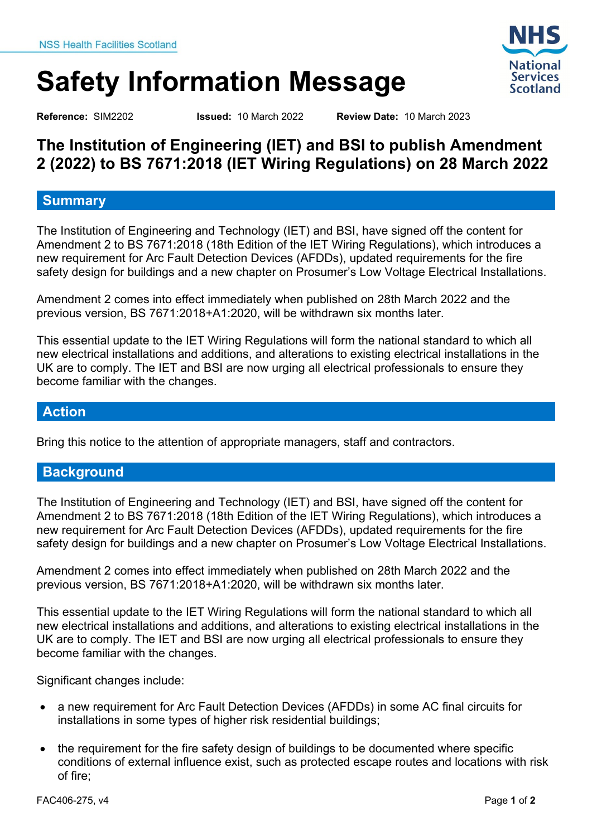# **Safety Information Message**

<span id="page-0-2"></span>

<span id="page-0-1"></span>

<span id="page-0-0"></span>**Reference:** SIM2202 **Issued:** 10 March 2022 **Review Date:** 10 March 2023

# **The Institution of Engineering (IET) and BSI to publish Amendment 2 (2022) to BS 7671:2018 (IET Wiring Regulations) on 28 March 2022**

## **Summary**

The Institution of Engineering and Technology (IET) and BSI, have signed off the content for Amendment 2 to BS 7671:2018 (18th Edition of the IET Wiring Regulations), which introduces a new requirement for Arc Fault Detection Devices (AFDDs), updated requirements for the fire safety design for buildings and a new chapter on Prosumer's Low Voltage Electrical Installations.

Amendment 2 comes into effect immediately when published on 28th March 2022 and the previous version, BS 7671:2018+A1:2020, will be withdrawn six months later.

This essential update to the IET Wiring Regulations will form the national standard to which all new electrical installations and additions, and alterations to existing electrical installations in the UK are to comply. The IET and BSI are now urging all electrical professionals to ensure they become familiar with the changes.

#### **Action**

Bring this notice to the attention of appropriate managers, staff and contractors.

## **Background**

The Institution of Engineering and Technology (IET) and BSI, have signed off the content for Amendment 2 to BS 7671:2018 (18th Edition of the IET Wiring Regulations), which introduces a new requirement for Arc Fault Detection Devices (AFDDs), updated requirements for the fire safety design for buildings and a new chapter on Prosumer's Low Voltage Electrical Installations.

Amendment 2 comes into effect immediately when published on 28th March 2022 and the previous version, BS 7671:2018+A1:2020, will be withdrawn six months later.

This essential update to the IET Wiring Regulations will form the national standard to which all new electrical installations and additions, and alterations to existing electrical installations in the UK are to comply. The IET and BSI are now urging all electrical professionals to ensure they become familiar with the changes.

Significant changes include:

- a new requirement for Arc Fault Detection Devices (AFDDs) in some AC final circuits for installations in some types of higher risk residential buildings;
- the requirement for the fire safety design of buildings to be documented where specific conditions of external influence exist, such as protected escape routes and locations with risk of fire;